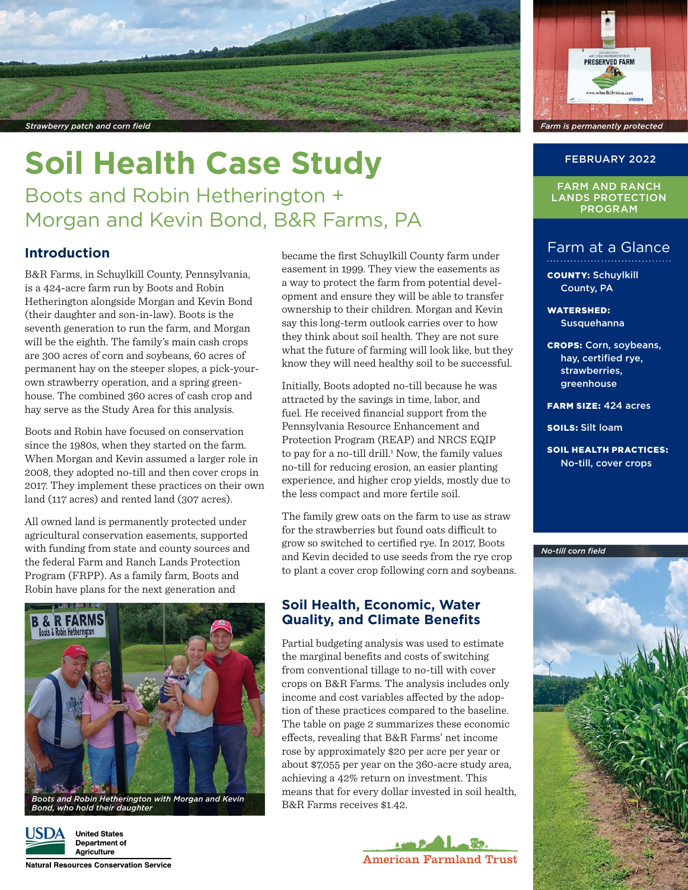

# **Soil Health Case Study** Boots and Robin Hetherington + Morgan and Kevin Bond, B&R Farms, PA

## **Introduction**

B&R Farms, in Schuylkill County, Pennsylvania, is a 424-acre farm run by Boots and Robin Hetherington alongside Morgan and Kevin Bond (their daughter and son-in-law). Boots is the seventh generation to run the farm, and Morgan will be the eighth. The family's main cash crops are 300 acres of corn and soybeans, 60 acres of permanent hay on the steeper slopes, a pick-yourown strawberry operation, and a spring greenhouse. The combined 360 acres of cash crop and hay serve as the Study Area for this analysis.

Boots and Robin have focused on conservation since the 1980s, when they started on the farm. When Morgan and Kevin assumed a larger role in 2008, they adopted no-till and then cover crops in 2017. They implement these practices on their own land (117 acres) and rented land (307 acres).

All owned land is permanently protected under agricultural conservation easements, supported with funding from state and county sources and the federal Farm and Ranch Lands Protection Program (FRPP). As a family farm, Boots and Robin have plans for the next generation and



*Boots and Robin Hetherington with Morgan and Kevin Bond, who hold their daughter*



**United States** Department of Agriculture

became the first Schuylkill County farm under easement in 1999. They view the easements as a way to protect the farm from potential development and ensure they will be able to transfer ownership to their children. Morgan and Kevin say this long-term outlook carries over to how they think about soil health. They are not sure what the future of farming will look like, but they know they will need healthy soil to be successful.

Initially, Boots adopted no-till because he was attracted by the savings in time, labor, and fuel. He received financial support from the Pennsylvania Resource Enhancement and Protection Program (REAP) and NRCS EQIP to pay for a no-till drill.<sup>1</sup> Now, the family values no-till for reducing erosion, an easier planting experience, and higher crop yields, mostly due to the less compact and more fertile soil.

The family grew oats on the farm to use as straw for the strawberries but found oats difficult to grow so switched to certified rye. In 2017, Boots and Kevin decided to use seeds from the rye crop to plant a cover crop following corn and soybeans.

## **Soil Health, Economic, Water Quality, and Climate Benefits**

Partial budgeting analysis was used to estimate the marginal benefits and costs of switching from conventional tillage to no-till with cover crops on B&R Farms. The analysis includes only income and cost variables affected by the adoption of these practices compared to the baseline. The table on page 2 summarizes these economic effects, revealing that B&R Farms' net income rose by approximately \$20 per acre per year or about \$7,055 per year on the 360-acre study area, achieving a 42% return on investment. This means that for every dollar invested in soil health, B&R Farms receives \$1.42.





#### FEBRUARY 2022

FARM AND RANCH LANDS PROTECTION PROGRAM

# Farm at a Glance

COUNTY: Schuylkill County, PA

WATERSHED: Susquehanna

CROPS: Corn, soybeans, hay, certified rye, strawberries, greenhouse

FARM SIZE: 424 acres

SOILS: Silt loam

SOIL HEALTH PRACTICES: No-till, cover crops

*No-till corn field*



**Natural Resources Conservation Service**